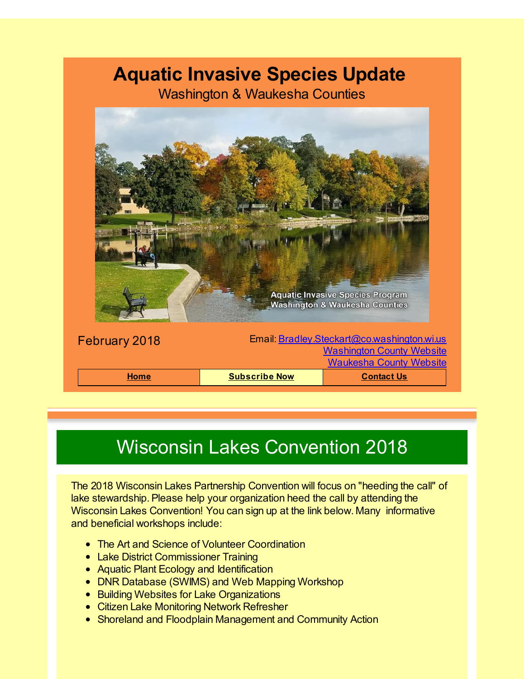#### **Aquatic Invasive Species Update**

Washington & Waukesha Counties



# Wisconsin Lakes Convention 2018

The 2018 Wisconsin Lakes Partnership Convention will focus on "heeding the call" of lake stewardship. Please help your organization heed the call by attending the Wisconsin Lakes Convention! You can sign up at the link below. Many informative and beneficial workshops include:

- The Art and Science of Volunteer Coordination
- Lake District Commissioner Training
- Aquatic Plant Ecology and Identification
- DNR Database (SWIMS) and Web Mapping Workshop
- **Building Websites for Lake Organizations**
- Citizen Lake Monitoring Network Refresher
- Shoreland and Floodplain Management and Community Action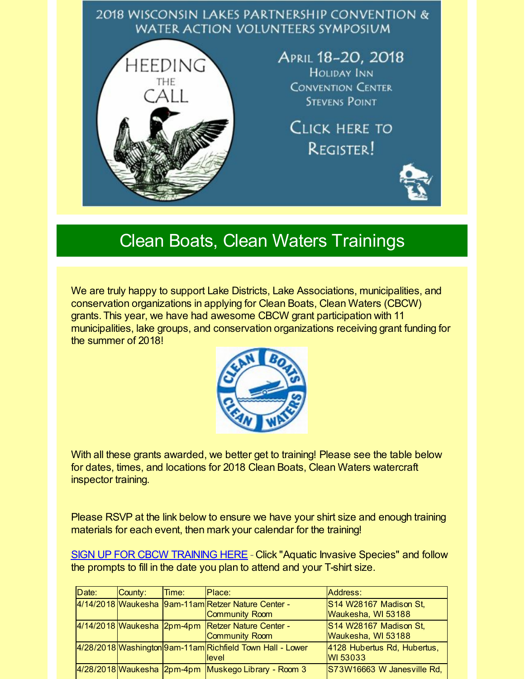#### 2018 WISCONSIN LAKES PARTNERSHIP CONVENTION & **WATER ACTION VOLUNTEERS SYMPOSIUM**



APRIL 18-20, 2018 **HOLIDAY INN CONVENTION CENTER STEVENS POINT** 

CLICK HERE TO **REGISTER!** 



#### Clean Boats, Clean Waters Trainings

We are truly happy to support Lake Districts, Lake Associations, municipalities, and conservation organizations in applying for Clean Boats, Clean Waters (CBCW) grants. This year, we have had awesome CBCW grant participation with 11 municipalities, lake groups, and conservation organizations receiving grant funding for the summer of 2018!



With all these grants awarded, we better get to training! Please see the table below for dates, times, and locations for 2018 Clean Boats, Clean Waters watercraft inspector training.

Please RSVP at the link below to ensure we have your shirt size and enough training materials for each event, then mark your calendar for the training!

SIGN UP FOR CBCW [TRAINING](http://r20.rs6.net/tn.jsp?f=001mrBqDhxs8-wzoUgsjJFv1IuUEV2f0-vGPK8FjtQ9-ftHrczOYeOhzGo3x2fUzFcFb-CPh6qiRTO7lzP6sUZkiRKb2imbicv_z7PVw2yANHHqp1YoxXcnWKEUmQZGevLpmQ_03Dgab2JdYEfUGSVpctGdm720hGkvSTlUbcOSSsNYiIyilfCCLo2ekOeS5CJEjU5RpTXxWE3c7wOVY4B0hScQCED3-wrTenHQ00H1Lg69OmcZ_yFygZIKNge89aXdYPEJ990PO0GBHU-6B_gGt84nk3YeiRhdewjjIWYBooot5XVHpgx0Rc4DXg0IwC6M5IkgcMmCnmj7AfXTy7aCJHwOuxNzr0dtmm0Tv-6UK58obZN_XWUaj33uABT8sbdDzWxj60am_Dg=&c=&ch=) HERE - Click "Aquatic Invasive Species" and follow the prompts to fill in the date you plan to attend and your T-shirt size.

|  | Date: | County: | Time: | Place:                                                               | Address:                                       |
|--|-------|---------|-------|----------------------------------------------------------------------|------------------------------------------------|
|  |       |         |       | 4/14/2018 Waukesha 9am-11am Retzer Nature Center -<br>Community Room | S14 W28167 Madison St,<br>Waukesha, WI 53188   |
|  |       |         |       | 4/14/2018 Waukesha 2pm-4pm Retzer Nature Center -<br>Community Room  | S14 W28167 Madison St,<br>Waukesha, WI 53188   |
|  |       |         |       | 4/28/2018 Washington 9am-11am Richfield Town Hall - Lower<br>level   | 4128 Hubertus Rd, Hubertus,<br><b>WI 53033</b> |
|  |       |         |       | 4/28/2018 Waukesha 2pm-4pm Muskego Library - Room 3                  | S73W16663 W Janesville Rd,                     |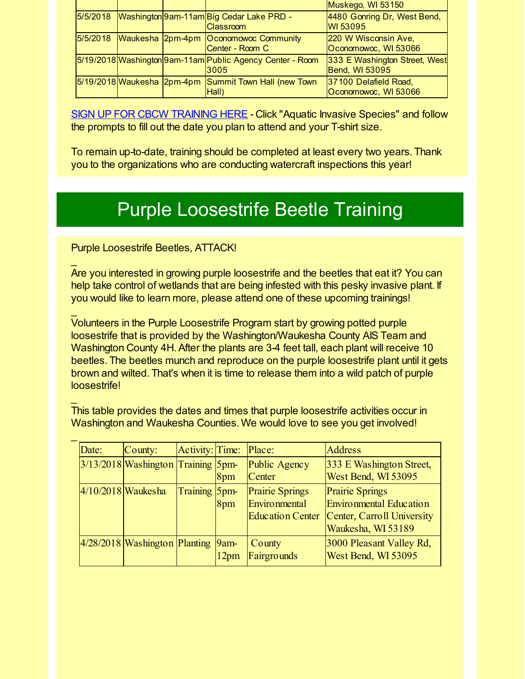|  |  |                                                                       | Muskego, WI 53150                                      |  |  |
|--|--|-----------------------------------------------------------------------|--------------------------------------------------------|--|--|
|  |  | 5/5/2018 Washington 9am-11am Big Cedar Lake PRD -<br><b>Classroom</b> | 4480 Gonring Dr, West Bend,<br><b>WI 53095</b>         |  |  |
|  |  | 5/5/2018 Waukesha 2pm-4pm Oconomowoc Community<br>Center - Room C     | 220 W Wisconsin Ave,<br>Oconomowoc, WI 53066           |  |  |
|  |  | 5/19/2018 Washington 9am-11am Public Agency Center - Room<br>3005     | 333 E Washington Street, West<br><b>Bend, WI 53095</b> |  |  |
|  |  | 5/19/2018 Waukesha 2pm-4pm Summit Town Hall (new Town<br>Hall)        | 37100 Delafield Road,<br>Oconomowoc, WI 53066          |  |  |

SIGN UP FOR CBCW [TRAINING](http://r20.rs6.net/tn.jsp?f=001mrBqDhxs8-wzoUgsjJFv1IuUEV2f0-vGPK8FjtQ9-ftHrczOYeOhzGo3x2fUzFcFb-CPh6qiRTO7lzP6sUZkiRKb2imbicv_z7PVw2yANHHqp1YoxXcnWKEUmQZGevLpmQ_03Dgab2JdYEfUGSVpctGdm720hGkvSTlUbcOSSsNYiIyilfCCLo2ekOeS5CJEjU5RpTXxWE3c7wOVY4B0hScQCED3-wrTenHQ00H1Lg69OmcZ_yFygZIKNge89aXdYPEJ990PO0GBHU-6B_gGt84nk3YeiRhdewjjIWYBooot5XVHpgx0Rc4DXg0IwC6M5IkgcMmCnmj7AfXTy7aCJHwOuxNzr0dtmm0Tv-6UK58obZN_XWUaj33uABT8sbdDzWxj60am_Dg=&c=&ch=) HERE - Click "Aquatic Invasive Species" and follow the prompts to fill out the date you plan to attend and your T-shirt size.

To remain up-to-date, training should be completed at least every two years. Thank you to the organizations who are conducting watercraft inspections this year!

# Purple Loosestrife Beetle Training

Purple Loosestrife Beetles, ATTACK!

 $\overline{\phantom{a}}$ 

 $\mathbf{r}$ 

 $\overline{\phantom{a}}$ 

 $\mathbf{r}$ 

Are you interested in growing purple loosestrife and the beetles that eat it? You can help take control of wetlands that are being infested with this pesky invasive plant. If you would like to learn more, please attend one of these upcoming trainings!

Volunteers in the Purple Loosestrife Program start by growing potted purple loosestrife that is provided by the Washington/Waukesha County AIS Team and Washington County 4H. After the plants are 3-4 feet tall, each plant will receive 10 beetles. The beetles munch and reproduce on the purple loosestrife plant until it gets brown and wilted. That's when it is time to release them into a wild patch of purple loosestrife!

This table provides the dates and times that purple loosestrife activities occur in Washington and Waukesha Counties. We would love to see you get involved!

| Date:                | County:                              | Activity: Time: |                  | Place:                                                             | <b>Address</b>                                                                                        |
|----------------------|--------------------------------------|-----------------|------------------|--------------------------------------------------------------------|-------------------------------------------------------------------------------------------------------|
|                      | 3/13/2018 Washington Training 5pm-   |                 | 8pm              | Public Agency<br>Center                                            | 333 E Washington Street,<br>West Bend, WI 53095                                                       |
| $4/10/2018$ Waukesha |                                      | Training 5pm    | 8pm              | <b>Prairie Springs</b><br>Environmental<br><b>Education Center</b> | <b>Prairie Springs</b><br>Environmental Education<br>Center, Carroll University<br>Waukesha, WI 53189 |
|                      | $4/28/2018$ Washington Planting 9am- |                 | 12 <sub>pm</sub> | County<br>Fairgrounds                                              | 3000 Pleasant Valley Rd,<br>West Bend, WI 53095                                                       |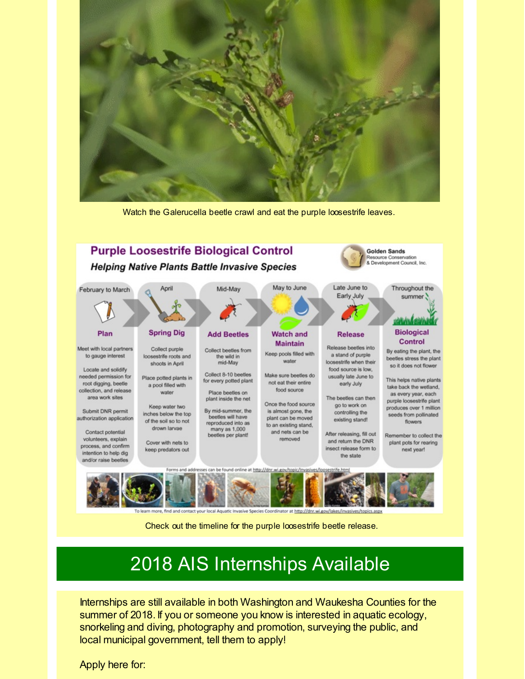

Watch the Galerucella beetle crawl and eat the purple loosestrife leaves.



Check out the timeline for the purple loosestrife beetle release.

# 2018 AIS Internships Available

Internships are still available in both Washington and Waukesha Counties for the summer of 2018. If you or someone you know is interested in aquatic ecology, snorkeling and diving, photography and promotion, surveying the public, and local municipal government, tell them to apply!

Apply here for: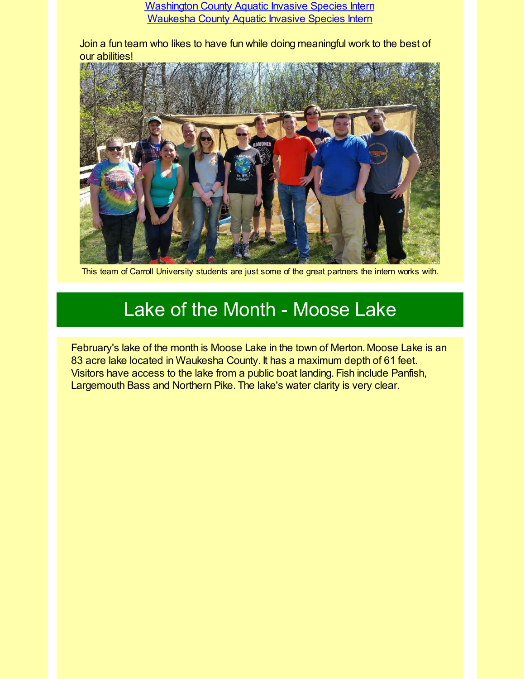[Washington](http://r20.rs6.net/tn.jsp?f=001mrBqDhxs8-wzoUgsjJFv1IuUEV2f0-vGPK8FjtQ9-ftHrczOYeOhzGhWJ-2ZTz-Zt1v3GajoFHRk6EgAj2WhZZOG6iT_A0UMsPicGJ0y0xDsKMa__4pRJhzHRfQ1q7IPK7DvT8WasnUviH6otjl2_NrYmRUmhE2n8b2xShaXJy1806epAVMKu8PKR0rGPOoPkIxOi2f5TgmGGH1u0uX04mrqZOQekT0Q0A310Rhg4JQ9qV6OOpjyyZnhvtZ99ufJjUwz_44Z6tDJVgwrjF9Iu764tMVbqP-MDsBdKeSIjp2lmnwQjaD8LS8WTa2NjDiIABaFWl2kyzU439ADU9ap-giq7yi95ShVAAfYPxmv8r3Ev0ii6vMdW__6Qu26URIEvZvo_4mZEE5iEig5DuBdDYMONHYd9X9Uc2AcLKutULhr5nhWTjZxoWqr2D1QXcz2FK0YfIzJuSvbCCt2MrjUYQ==&c=&ch=) County Aquatic Invasive Species Intern [Waukesha](http://r20.rs6.net/tn.jsp?f=001mrBqDhxs8-wzoUgsjJFv1IuUEV2f0-vGPK8FjtQ9-ftHrczOYeOhzGhWJ-2ZTz-ZEEM4asO73cio7xNbvjcHUHaGx3FfFtFxMfMfS0JOibaES3fA4vORy6NrVV_iKTVr9iIhDKgZ_IrdXadT1JkxEAeHPA1NF32xa_X7dnZasWh_Cc7haMp7ldAh6yVehwRQHx5Gnfq3ykGlk8AHaLsYMQfDJgQNFplsGTEVha9olGz-MpNKp3IxGG9aUCmslvY8LFSQKV0b5xJ79hwqkTj3Fs-M-O3zfKacFfvZZR0TyxrT803ko-pnBv9TxdcyCfqPQMDIgcAKyAGW2IK0_vc4WlcRypeAXcqQC88t9QIqua8=&c=&ch=) County Aquatic Invasive Species Intern

Join a fun team who likes to have fun while doing meaningful work to the best of our abilities!



This team of Carroll University students are just some of the great partners the intern works with.

#### Lake of the Month - Moose Lake

February's lake of the month is Moose Lake in the town of Merton. Moose Lake is an 83 acre lake located in Waukesha County. It has a maximum depth of 61 feet. Visitors have access to the lake from a public boat landing. Fish include Panfish, Largemouth Bass and Northern Pike. The lake's water clarity is very clear.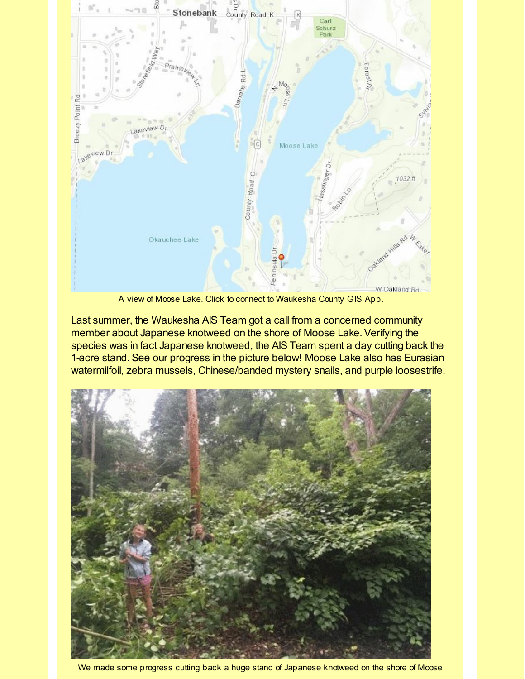

A view of Moose Lake. Click to connect to Waukesha County GIS App.

Last summer, the Waukesha AIS Team got a call from a concerned community member about Japanese knotweed on the shore of Moose Lake. Verifying the species was in fact Japanese knotweed, the AIS Team spent a day cutting back the 1-acre stand. See our progress in the picture below! Moose Lake also has Eurasian watermilfoil, zebra mussels, Chinese/banded mystery snails, and purple loosestrife.



We made some progress cutting back a huge stand of Japanese knotweed on the shore of Moose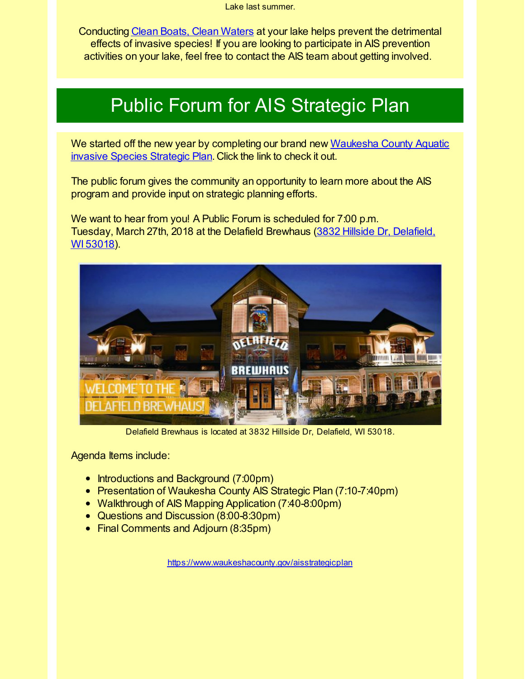Lake last summer.

Conducting Clean Boats, Clean [Waters](http://r20.rs6.net/tn.jsp?f=001mrBqDhxs8-wzoUgsjJFv1IuUEV2f0-vGPK8FjtQ9-ftHrczOYeOhzMoe6v167d9MBvpH1Rfe8eP8pWq-YUO96nTdp6Zhn3G0JvlRgB7Ag0hJnu_ZGSg3Id1SVsHAAs6kplYmwuS4p59sJGECT7UH9p9k60Ripu35do9CLZblPt4Hv09IOOMBNumuCe9j8FKJ02PcUs7FeRidGhOShTiTTwGD9ZksikdoSt771Rg7UY-fA4GqkUnYZkn1mj2xhyAnb1q2yHfQxuaPtubi_lIXihQCCJc3l2PDkVPw5rYvMg4a70wCf7aHhdGAwFeh48fgt44rk88X1Shfip_hGZFjgAXISNP4OCWuZnG2R-0AdAI=&c=&ch=) at your lake helps prevent the detrimental effects of invasive species! If you are looking to participate in AIS prevention activities on your lake, feel free to contact the AIS team about getting involved.

# Public Forum for AIS Strategic Plan

We started off the new year by [completing](http://r20.rs6.net/tn.jsp?f=001mrBqDhxs8-wzoUgsjJFv1IuUEV2f0-vGPK8FjtQ9-ftHrczOYeOhzJ9ciojiVwKzxnFm4JnzIO4SZGTUscgm-QRFrOL-0GshZlpUkURzjSo5CTDP5DDFdiw5F3R2VbcstxHa47l2Y5vcvnlGjcq_eIhgEwO0-mAVW2H5nfdB_pZG2VorFn4RQrhPYPoNZAtv7E-Ebkdl9q_OcgyP-XZfOO6C_5vTiclkgKXouJFH12MnGfmuul7LJqJDa4NJTt3V7PJwxd3f3nFcbHbc8UWE4wcqoNoYVwUby9_LvenBHNWB8rK_QVFI-TsNIJFU1nL0rLUQk7oCKFDLI4WDHdPiDLuR7napFMjZSTtjwPb4CKfdhlIQCSl4Ps1XR0w8xMMm&c=&ch=) our brand new Waukesha County Aquatic invasive Species Strategic Plan. Click the link to check it out.

The public forum gives the community an opportunity to learn more about the AIS program and provide input on strategic planning efforts.

We want to hear from you! A Public Forum is scheduled for 7:00 p.m. Tuesday, March 27th, 2018 at the Delafield [Brewhaus](http://r20.rs6.net/tn.jsp?f=001mrBqDhxs8-wzoUgsjJFv1IuUEV2f0-vGPK8FjtQ9-ftHrczOYeOhzJ9ciojiVwKz5X3G4nBTIXBbZe9P-nGHKq9sP3Cg_mqy9jM02VEVPZWLjOu3cs13dGKA8OEKHQh30XUcWHJ4dz1bxAvGgTk91bXB_8Cpoh--ppkDKMVP9y-mcCnlq96JbCR4tyOXrRHWBdgaZZtc4EzpWTYY5IOyHyLdwJitbbVbLsob-ifAqyUOjEuFNAOnC6dIwMxIE5pIK_jrfQ-hKAWzVpb4svHdzQsVw_jcuSWz3LNbV6WZaAXdIFPjV31i3OzDjSmZE3bTcfbaNN71uiuxsKPaY_nKhIgYYdu8rH1FwgOX56Yu_vU6p8QjKtnOCWuko7tsHVPgq4e9X7Fnmh1g3PJofj33qRif4Flz4ntQ0hJKYM8ojmQXDyyS2AL8O_yPf6fA_n4C1z9MNx_MW19PRoWOCFVIlRrCDj3UctvX8zHFPWvk9JZApnqEMTgouAot193Vmb29HQBWXx608pD4ntTR8moh2AY4tu1EaeI1DVXyyZRLH1iCpYp7iAwqJ1YQ7cwvZ_65a9M0JEiCKalQr4fGHkBiDw==&c=&ch=) (3832 Hillside Dr, Delafield, WI 53018).



Delafield Brewhaus is located at 3832 Hillside Dr, Delafield, WI 53018.

Agenda Items include:

- Introductions and Background (7:00pm)
- Presentation of Waukesha County AIS Strategic Plan (7:10-7:40pm)
- Walkthrough of AIS Mapping Application (7:40-8:00pm)
- Questions and Discussion (8:00-8:30pm)
- Final Comments and Adjourn (8:35pm)

[https://www.waukeshacounty.gov/aisstrategicplan](http://r20.rs6.net/tn.jsp?f=001mrBqDhxs8-wzoUgsjJFv1IuUEV2f0-vGPK8FjtQ9-ftHrczOYeOhzJ9ciojiVwKzxnFm4JnzIO4SZGTUscgm-QRFrOL-0GshZlpUkURzjSo5CTDP5DDFdiw5F3R2VbcstxHa47l2Y5vcvnlGjcq_eIhgEwO0-mAVW2H5nfdB_pZG2VorFn4RQrhPYPoNZAtv7E-Ebkdl9q_OcgyP-XZfOO6C_5vTiclkgKXouJFH12MnGfmuul7LJqJDa4NJTt3V7PJwxd3f3nFcbHbc8UWE4wcqoNoYVwUby9_LvenBHNWB8rK_QVFI-TsNIJFU1nL0rLUQk7oCKFDLI4WDHdPiDLuR7napFMjZSTtjwPb4CKfdhlIQCSl4Ps1XR0w8xMMm&c=&ch=)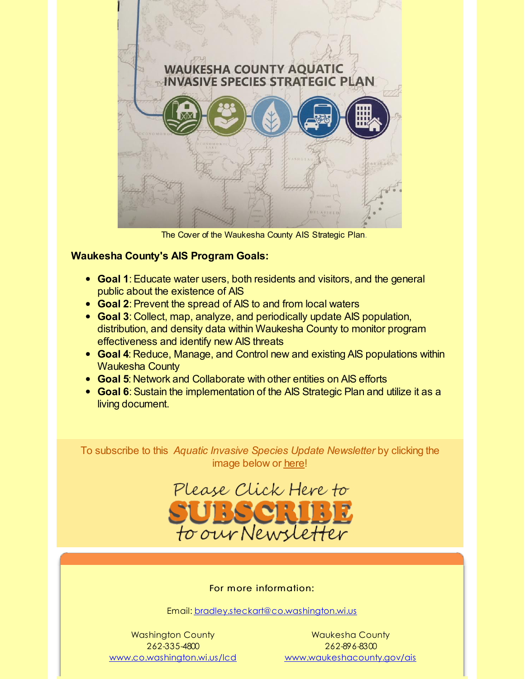

The Cover of the Waukesha County AIS Strategic Plan.

#### **Waukesha County's AIS Program Goals:**

- **Goal 1**:Educate water users, both residents and visitors, and the general public about the existence of AIS
- **Goal 2**:Prevent the spread of AIS to and from local waters
- **Goal 3**: Collect, map, analyze, and periodically update AIS population, distribution, and density data within Waukesha County to monitor program effectiveness and identify new AIS threats
- **Goal 4**: Reduce, Manage, and Control new and existing AIS populations within Waukesha County
- **Goal 5**: Network and Collaborate with other entities on AIS efforts
- **Goal 6**: Sustain the implementation of the AIS Strategic Plan and utilize it as a living document.

To subscribe to this *Aquatic Invasive Species Update Newsletter* by clicking the image below or [here](http://visitor.r20.constantcontact.com/d.jsp?llr=kfohqmcab&p=oi&m=1102078785706&sit=mdwsaogdb&f=72c567dd-ea1f-46d9-a3b3-0487646a78a3)!



For more information:

Email: [bradley.steckart@co.washington.wi.us](mailto:bradley.steckart@co.washington.wi.us)

Washington County 262-335-4800 [www.co.washington.wi.us/lcd](http://r20.rs6.net/tn.jsp?f=001mrBqDhxs8-wzoUgsjJFv1IuUEV2f0-vGPK8FjtQ9-ftHrczOYeOhzMoe6v167d9Mpx-SzOUvfWhRhzn5JAhnSpbeQLdISwp4D7fLgutjlMCeb8vjnLaOCDAew0Sceh63vxaEfZRGSt-S_f5rFF1vxbx5F3P2g3FhSJhScXr4f5OEOidMuWbofRmaOrWXg5-3DMG0kmKamMbumxi_kRGHkdTvVHTqa7lOe1S2yEY0PrF_sF1c493aNAcDAwpJtcrtgCSZ5S1rensI-bJUU6AFiLf0As3-luK6QzL4ueEbSGuDBo3IyQ5s7GfCR1MM3ShIIhHYn1TW9wRizcwDuFC1OYOBeO3-OGzJzUc0nWQURxE=&c=&ch=)

Waukesha County 262-896-8300 [www.waukeshacounty.gov/ais](http://r20.rs6.net/tn.jsp?f=001mrBqDhxs8-wzoUgsjJFv1IuUEV2f0-vGPK8FjtQ9-ftHrczOYeOhzKmOW1HyZQgTrvTP8Hqum-u3ozG8lT3-95CJWOSx9wligGvkvNp9KBtijwBKbOBZSmc6M_4SWifPiKWqrDdqsHSCYJXGef277JJgjcULg2kBGjBFYMvB0oFPGoMFXl4iXY4PJsouqeCBT3qxSRxYY7bJps2tebJCJjprqKx3c8t7VgpUf3CVFefdtgrN8dYeNjktTQlKAt1yw_D5ctO11smPKu0kl96G6vpJNm69cy1dVlh07djtW6z6kWXZve0Sa6n90f8dtwkYbZa7haEi-qv_hTGob1BiZ407xq1u2oNcaMurD0k2SO0=&c=&ch=)